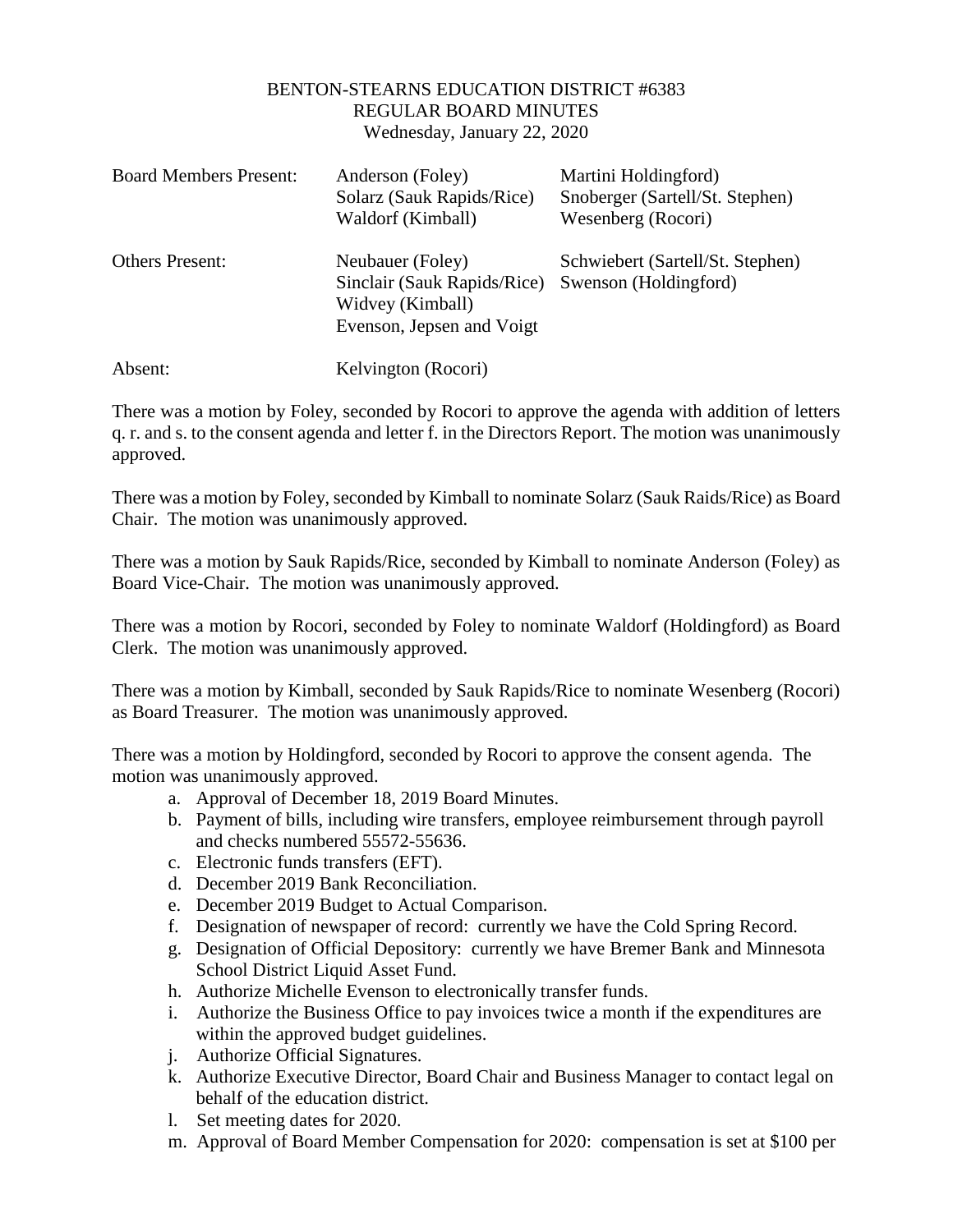## BENTON-STEARNS EDUCATION DISTRICT #6383 REGULAR BOARD MINUTES Wednesday, January 22, 2020

| <b>Board Members Present:</b> | Anderson (Foley)<br>Solarz (Sauk Rapids/Rice)<br>Waldorf (Kimball)                               | Martini Holdingford)<br>Snoberger (Sartell/St. Stephen)<br>Wesenberg (Rocori) |
|-------------------------------|--------------------------------------------------------------------------------------------------|-------------------------------------------------------------------------------|
| <b>Others Present:</b>        | Neubauer (Foley)<br>Sinclair (Sauk Rapids/Rice)<br>Widvey (Kimball)<br>Evenson, Jepsen and Voigt | Schwiebert (Sartell/St. Stephen)<br>Swenson (Holdingford)                     |
| Absent:                       | Kelvington (Rocori)                                                                              |                                                                               |

There was a motion by Foley, seconded by Rocori to approve the agenda with addition of letters q. r. and s. to the consent agenda and letter f. in the Directors Report. The motion was unanimously approved.

There was a motion by Foley, seconded by Kimball to nominate Solarz (Sauk Raids/Rice) as Board Chair. The motion was unanimously approved.

There was a motion by Sauk Rapids/Rice, seconded by Kimball to nominate Anderson (Foley) as Board Vice-Chair. The motion was unanimously approved.

There was a motion by Rocori, seconded by Foley to nominate Waldorf (Holdingford) as Board Clerk. The motion was unanimously approved.

There was a motion by Kimball, seconded by Sauk Rapids/Rice to nominate Wesenberg (Rocori) as Board Treasurer. The motion was unanimously approved.

There was a motion by Holdingford, seconded by Rocori to approve the consent agenda. The motion was unanimously approved.

- a. Approval of December 18, 2019 Board Minutes.
- b. Payment of bills, including wire transfers, employee reimbursement through payroll and checks numbered 55572-55636.
- c. Electronic funds transfers (EFT).
- d. December 2019 Bank Reconciliation.
- e. December 2019 Budget to Actual Comparison.
- f. Designation of newspaper of record: currently we have the Cold Spring Record.
- g. Designation of Official Depository: currently we have Bremer Bank and Minnesota School District Liquid Asset Fund.
- h. Authorize Michelle Evenson to electronically transfer funds.
- i. Authorize the Business Office to pay invoices twice a month if the expenditures are within the approved budget guidelines.
- j. Authorize Official Signatures.
- k. Authorize Executive Director, Board Chair and Business Manager to contact legal on behalf of the education district.
- l. Set meeting dates for 2020.
- m. Approval of Board Member Compensation for 2020: compensation is set at \$100 per